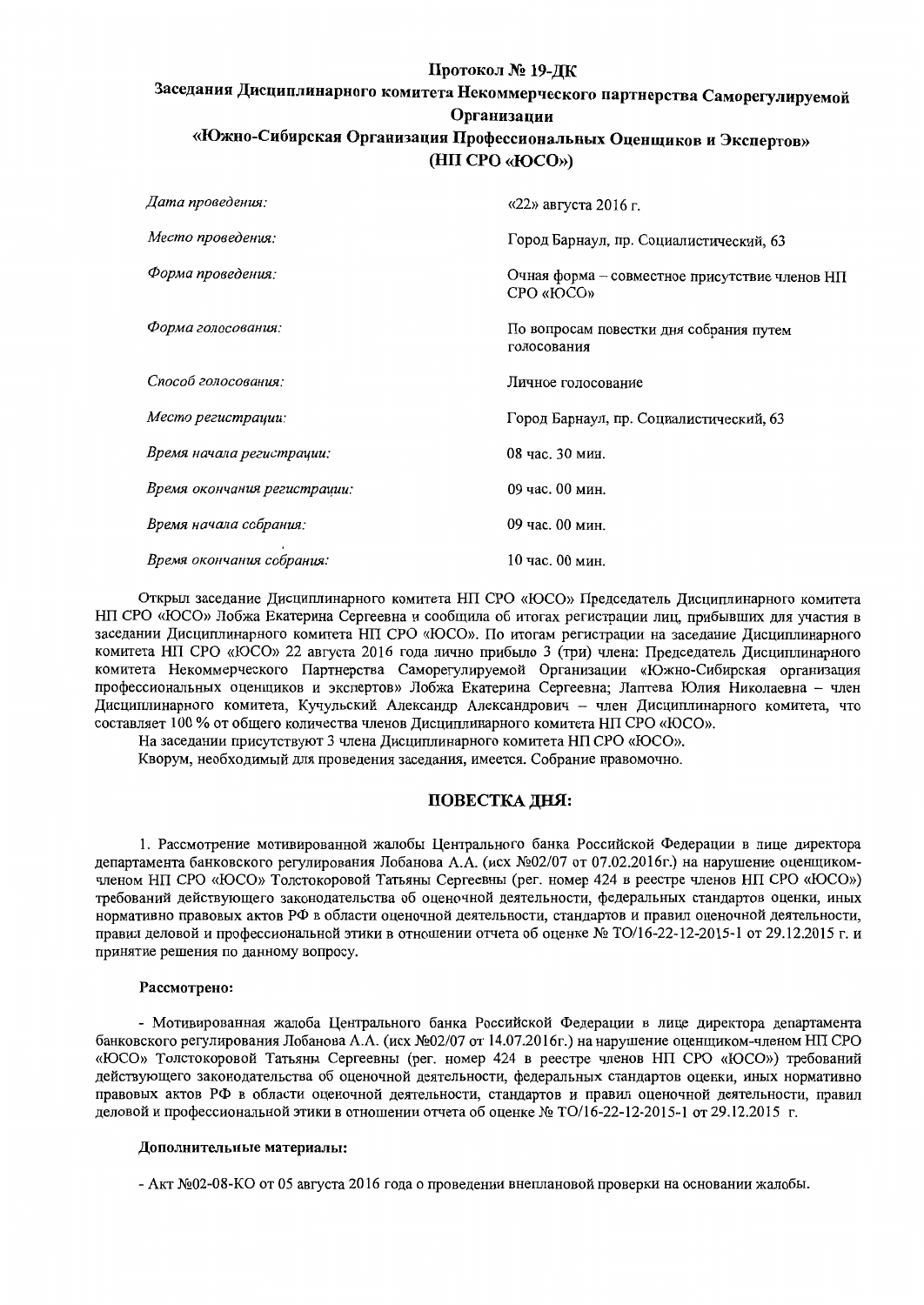# Протокол № 19-ДК

# Заседания Дисциплинарного комитета Некоммерческого партнерства Саморегулируемой Организации «Южно-Сибирская Организация Профессиональных Оценщиков и Экспертов» (HII CPO «IOCO»)

| Дата проведения:             | $\frac{1}{22}$ » августа 2016 г.                             |
|------------------------------|--------------------------------------------------------------|
| Место проведения:            | Город Барнаул, пр. Социалистический, 63                      |
| Форма проведения:            | Очная форма – совместное присутствие членов НП<br>CPO «IOCO» |
| Форма голосования:           | По вопросам повестки дня собрания путем<br>голосования       |
| Способ голосования:          | Личное голосование                                           |
| Место регистрации:           | Город Барнаул, пр. Социалистический, 63                      |
| Время начала регистрации:    | 08 час. 30 мин.                                              |
| Время окончания регистрации: | 09 час. 00 мин.                                              |
| Время начала собрания:       | 09 час. 00 мин.                                              |
| Время окончания собрания:    | 10 час. 00 мин.                                              |

Открыл заседание Дисциплинарного комитета НП СРО «ЮСО» Председатель Дисциплинарного комитета НП СРО «ЮСО» Лобжа Екатерина Сергеевна и сообщила об итогах регистрации лиц, прибывших для участия в заседании Дисциплинарного комитета НП СРО «ЮСО». По итогам регистрации на заседание Дисциплинарного комитета НП СРО «ЮСО» 22 августа 2016 года лично прибыло 3 (три) члена: Председатель Дисциплинарного комитета Некоммерческого Партнерства Саморегулируемой Организации «Южно-Сибирская организация профессиональных оценщиков и экспертов» Лобжа Екатерина Сергеевна; Лаптева Юлия Николаевна - член Дисциплинарного комитета, Кучульский Александр Александрович - член Дисциплинарного комитета, что составляет 100 % от общего количества членов Дисциплинарного комитета НП СРО «ЮСО».

На заседании присутствуют 3 члена Дисциплинарного комитета НП СРО «ЮСО».

Кворум, необходимый для проведения заседания, имеется. Собрание правомочно.

## ПОВЕСТКА ДНЯ:

1. Рассмотрение мотивированной жалобы Центрального банка Российской Федерации в лице директора департамента банковского регулирования Лобанова А.А. (исх №02/07 от 07.02.2016г.) на нарушение оценщикомчленом НП СРО «ЮСО» Толстокоровой Татьяны Сергеевны (рег. номер 424 в реестре членов НП СРО «ЮСО») требований действующего законодательства об оценочной деятельности, федеральных стандартов оценки, иных нормативно правовых актов РФ в области оценочной деятельности, стандартов и правил оценочной деятельности, правил деловой и профессиональной этики в отношении отчета об оценке № ТО/16-22-12-2015-1 от 29.12.2015 г. и принятие решения по данному вопросу.

#### Рассмотрено:

- Мотивированная жалоба Центрального банка Российской Федерации в лице директора департамента банковского регулирования Лобанова А.А. (исх №02/07 от 14.07.2016г.) на нарушение оценщиком-членом НП СРО «ЮСО» Толстокоровой Татьяны Сергеевны (рег. номер 424 в реестре членов НП СРО «ЮСО») требований действующего законодательства об оценочной деятельности, федеральных стандартов оценки, иных нормативно правовых актов РФ в области оценочной деятельности, стандартов и правил оценочной деятельности, правил деловой и профессиональной этики в отношении отчета об оценке № ТО/16-22-12-2015-1 от 29.12.2015 г.

#### Дополнительные материалы:

- Акт №02-08-КО от 05 августа 2016 года о проведении внеплановой проверки на основании жалобы.